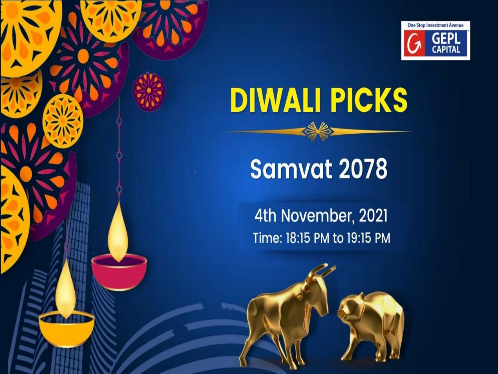

# **DIWALI PICKS**

# Samvat 2078

4th November, 2021 Time: 18:15 PM to 19:15 PM

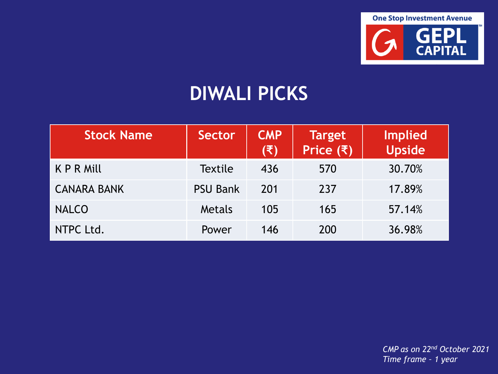

### **DIWALI PICKS**

| <b>Stock Name</b>  | Sector          | <b>CMP</b><br>(₹) | <b>Target</b><br>Price $(3)$ | <b>Implied</b><br><b>Upside</b> |
|--------------------|-----------------|-------------------|------------------------------|---------------------------------|
| K P R Mill         | <b>Textile</b>  | 436               | 570                          | 30.70%                          |
| <b>CANARA BANK</b> | <b>PSU Bank</b> | 201               | 237                          | 17.89%                          |
| <b>NALCO</b>       | Metals          | 105               | 165                          | 57.14%                          |
| NTPC Ltd.          | Power           | 146               | 200                          | 36.98%                          |

*CMP as on 22nd October 2021 Time frame – 1 year*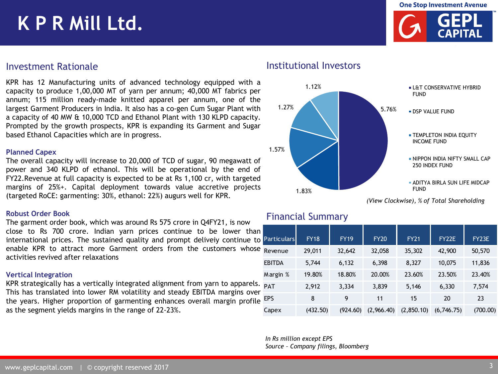**One Stop Investment Avenue** 

## **K P R Mill Ltd.**



KPR has 12 Manufacturing units of advanced technology equipped with a capacity to produce 1,00,000 MT of yarn per annum; 40,000 MT fabrics per annum; 115 million ready-made knitted apparel per annum, one of the largest Garment Producers in India. It also has a co-gen Cum Sugar Plant with a capacity of 40 MW & 10,000 TCD and Ethanol Plant with 130 KLPD capacity. Prompted by the growth prospects, KPR is expanding its Garment and Sugar based Ethanol Capacities which are in progress.

#### **Planned Capex**

The overall capacity will increase to 20,000 of TCD of sugar, 90 megawatt of power and 340 KLPD of ethanol. This will be operational by the end of FY22.Revenue at full capacity is expected to be at Rs 1,100 cr, with targeted margins of 25%+. Capital deployment towards value accretive projects (targeted RoCE: garmenting: 30%, ethanol: 22%) augurs well for KPR.

#### **Robust Order Book**

The garment order book, which was around Rs 575 crore in Q4FY21, is now close to Rs 700 crore. Indian yarn prices continue to be lower than international prices. The sustained quality and prompt deliveiy continue to enable KPR to attract more Garment orders from the customers whose activities revived after relaxations

#### **Vertical Integration**

KPR strategically has a vertically integrated alignment from yarn to apparels. This has translated into lower RM volatility and steady EBITDA margins over the years. Higher proportion of garmenting enhances overall margin profile as the segment yields margins in the range of 22-23%.

#### Investment Rationale **Institutional Investors**



*(View Clockwise), % of Total Shareholding*

#### Financial Summary

| <b>Particulars</b> | <b>FY18</b> | <b>FY19</b> | <b>FY20</b> | <b>FY21</b> | FY22E      | FY23E    |
|--------------------|-------------|-------------|-------------|-------------|------------|----------|
| Revenue            | 29,011      | 32,642      | 32,058      | 35,302      | 42,900     | 50,570   |
| <b>EBITDA</b>      | 5,744       | 6,132       | 6,398       | 8,327       | 10,075     | 11,836   |
| Margin %           | 19.80%      | 18.80%      | 20.00%      | 23.60%      | 23.50%     | 23.40%   |
| <b>PAT</b>         | 2,912       | 3,334       | 3,839       | 5,146       | 6,330      | 7,574    |
| <b>EPS</b>         | 8           | 9           | 11          | 15          | 20         | 23       |
| Capex              | (432.50)    | (924.60)    | (2,966,40)  | (2,850.10)  | (6,746.75) | (700.00) |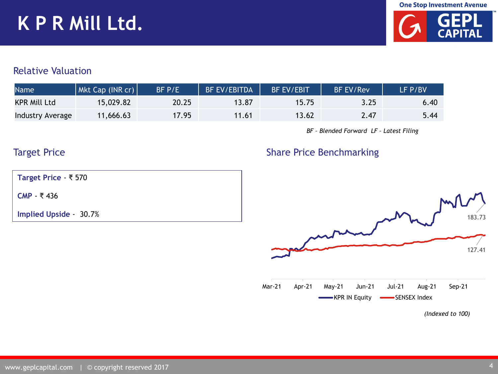## **K P R Mill Ltd.**



#### Relative Valuation

| <b>Name</b>         | Mkt Cap (INR cr) | $BF$ $P/E$ | <b>BF EV/EBITDA</b> | <b>BF EV/EBIT</b> | <b>BF EV/Rev</b> | LF P/BV |
|---------------------|------------------|------------|---------------------|-------------------|------------------|---------|
| <b>KPR Mill Ltd</b> | 15,029.82        | 20.25      | 13.87               | 15.75             | 3.25             | 6.40    |
| Industry Average    | 11,666.63        | 17.95      | 11.61               | 13.62             | 2.47             | 5.44    |

*BF – Blended Forward LF – Latest Filing* 

Share Price Benchmarking

#### Target Price

**Target Price** - ₹ 570

**CMP** - ₹ 436

**Implied Upside** - 30.7%

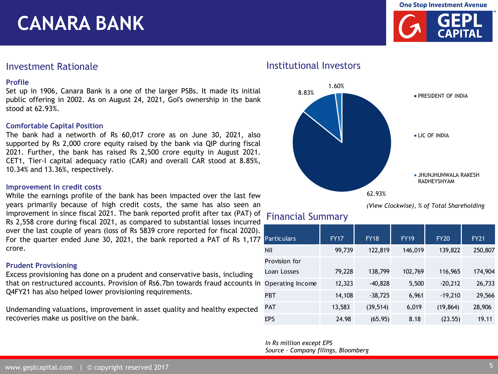**Profile** Investment Rationale **Institutional Investors** 

**CANARA BANK**

Set up in 1906, Canara Bank is a one of the larger PSBs. It made its initial public offering in 2002. As on August 24, 2021, GoI's ownership in the bank stood at 62.93%.

#### **Comfortable Capital Position**

The bank had a networth of Rs 60,017 crore as on June 30, 2021, also supported by Rs 2,000 crore equity raised by the bank via QIP during fiscal 2021. Further, the bank has raised Rs 2,500 crore equity in August 2021. CET1, Tier-I capital adequacy ratio (CAR) and overall CAR stood at 8.85%, 10.34% and 13.36%, respectively.

#### **Improvement in credit costs**

While the earnings profile of the bank has been impacted over the last few years primarily because of high credit costs, the same has also seen an improvement in since fiscal 2021. The bank reported profit after tax (PAT) of Rs 2,558 crore during fiscal 2021, as compared to substantial losses incurred over the last couple of years (loss of Rs 5839 crore reported for fiscal 2020). For the quarter ended June 30, 2021, the bank reported a PAT of Rs 1,177 crore.

#### **Prudent Provisioning**

Excess provisioning has done on a prudent and conservative basis, including that on restructured accounts. Provision of Rs6.7bn towards fraud accounts in Q4FY21 has also helped lower provisioning requirements.

Undemanding valuations, improvement in asset quality and healthy expected recoveries make us positive on the bank.



*(View Clockwise), % of Total Shareholding*

### Financial Summary

| <b>Particulars</b> | <b>FY17</b> | <b>FY18</b> | <b>FY19</b> | <b>FY20</b> | <b>FY21</b> |
|--------------------|-------------|-------------|-------------|-------------|-------------|
| <b>NII</b>         | 99,739      | 122,819     | 146,019     | 139,822     | 250,807     |
| Provision for      |             |             |             |             |             |
| Loan Losses        | 79,228      | 138,799     | 102,769     | 116,965     | 174,904     |
| Operating Income   | 12,323      | $-40,828$   | 5,500       | $-20,212$   | 26,733      |
| <b>PBT</b>         | 14,108      | $-38,725$   | 6,961       | $-19,210$   | 29,566      |
| <b>PAT</b>         | 13,583      | (39, 514)   | 6,019       | (19, 864)   | 28,906      |
| <b>EPS</b>         | 24.98       | (65.95)     | 8.18        | (23.55)     | 19.11       |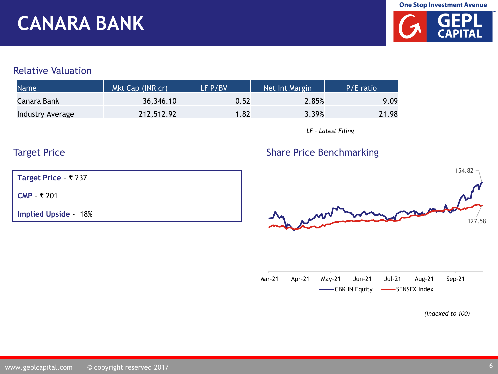### **CANARA BANK**



#### Relative Valuation

| <b>Name</b>      | Mkt Cap (INR cr) | LF P/BV | Net Int Margin | P/E ratio |
|------------------|------------------|---------|----------------|-----------|
| Canara Bank      | 36,346.10        | 0.52    | 2.85%          | 9.09      |
| Industry Average | 212,512.92       | 1.82    | 3.39%          | 21.98     |

*LF – Latest Filing* 

### Target Price

**Target Price** - ₹ 237

**CMP** - ₹ 201

**Implied Upside** - 18%





|  | Aar-21 Apr-21 May-21 Jun-21 Jul-21 Aug-21 Sep-21 |  |  |  |
|--|--------------------------------------------------|--|--|--|
|  | <b>CBK IN Equity CENSEX Index</b>                |  |  |  |

*(Indexed to 100)*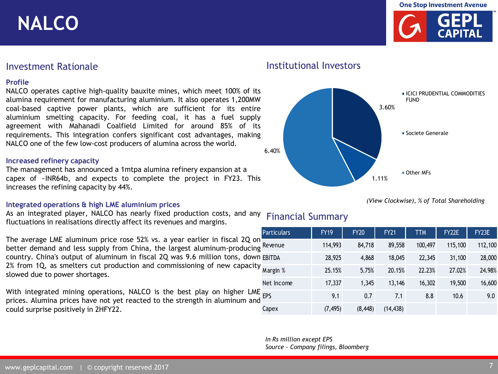**NALCO**



#### **Profile**

NALCO operates captive high-quality bauxite mines, which meet 100% of its alumina requirement for manufacturing aluminium. It also operates 1,200MW coal-based captive power plants, which are sufficient for its entire aluminium smelting capacity. For feeding coal, it has a fuel supply agreement with Mahanadi Coalfield Limited for around 85% of its requirements. This integration confers significant cost advantages, making NALCO one of the few low-cost producers of alumina across the world.

#### **Increased refinery capacity**

The management has announced a 1mtpa alumina refinery expansion at a capex of ~INR64b, and expects to complete the project in FY23. This increases the refining capacity by 44%.

#### **Integrated operations & high LME aluminium prices**

As an integrated player, NALCO has nearly fixed production costs, and any fluctuations in realisations directly affect its revenues and margins. Financial Summary

|                                                                                                                                                                | i u truu J |  |
|----------------------------------------------------------------------------------------------------------------------------------------------------------------|------------|--|
| The average LME aluminum price rose 52% vs. a year earlier in fiscal 2Q on<br>better demand and less supply from China, the largest aluminum-producing Revenue |            |  |
| country. China's output of aluminum in fiscal 2Q was 9.6 million tons, down EBITDA                                                                             |            |  |
| 2% from 1Q, as smelters cut production and commissioning of new capacity $\frac{1}{x}$<br>slowed due to power shortages.                                       |            |  |
| With interpreted printed accordiance NALCO is the boot play an bigher UNE                                                                                      | Net Income |  |
|                                                                                                                                                                |            |  |

With integrated mining operations, NALCO is the best play on higher LME<sub>E</sub> prices. Alumina prices have not yet reacted to the strength in aluminum and could surprise positively in 2HFY22.

#### Investment Rationale **Institutional Investors**



*(View Clockwise), % of Total Shareholding*

| <b>Particulars</b> | <b>FY19</b> | <b>FY20</b> | <b>FY21</b> | <b>TTM</b> | FY22E   | FY23E   |
|--------------------|-------------|-------------|-------------|------------|---------|---------|
| Revenue            | 114,993     | 84,718      | 89,558      | 100,497    | 115,100 | 112,100 |
| EBITDA             | 28,925      | 4,868       | 18,045      | 22,345     | 31,100  | 28,000  |
| Margin %           | 25.15%      | 5.75%       | 20.15%      | 22.23%     | 27.02%  | 24.98%  |
| Net Income         | 17,337      | 1,345       | 13,146      | 16,302     | 19,500  | 16,600  |
| EPS                | 9.1         | 0.7         | 7.1         | 8.8        | 10.6    | 9.0     |
| Capex              | (7, 495)    | (8, 448)    | (14, 438)   |            |         |         |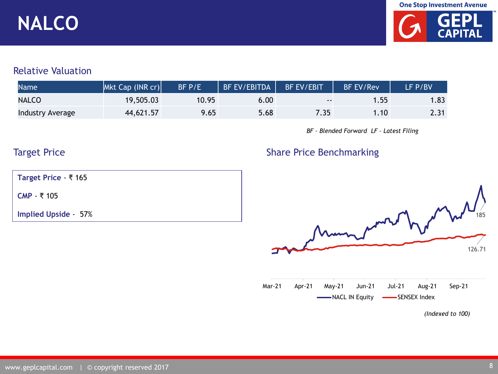**One Stop Investment Avenue** 

## **NALCO**



#### Relative Valuation

| <b>Name</b>      | Mkt Cap (INR cr) | BF P/E | BF EV/EBITDA | <b>BF EV/EBIT</b> | <b>BF EV/Rev</b> | LF P/BV |
|------------------|------------------|--------|--------------|-------------------|------------------|---------|
| <b>NALCO</b>     | 19,505.03        | 10.95  | 6.00         | $\sim$ $\sim$     | .55 <sub>1</sub> | .83     |
| Industry Average | 44,621.57        | 9.65   | 5.68         | 7.35              | .10 <sup>7</sup> | 2.31    |

*BF – Blended Forward LF – Latest Filing* 

Share Price Benchmarking

### Target Price

**Target Price** - ₹ 165

**CMP** - ₹ 105

**Implied Upside** - 57%

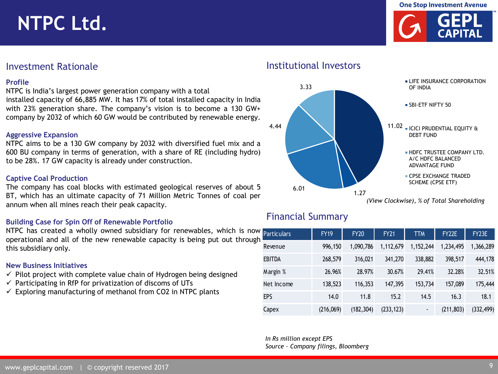### **NTPC Ltd.**





#### **Profile**

NTPC is India's largest power generation company with a total installed capacity of 66,885 MW. It has 17% of total installed capacity in India with 23% generation share. The company's vision is to become a 130 GW+ company by 2032 of which 60 GW would be contributed by renewable energy.

#### **Aggressive Expansion**

NTPC aims to be a 130 GW company by 2032 with diversified fuel mix and a 600 BU company in terms of generation, with a share of RE (including hydro) to be 28%. 17 GW capacity is already under construction.

#### **Captive Coal Production**

The company has coal blocks with estimated geological reserves of about 5 BT, which has an ultimate capacity of 71 Million Metric Tonnes of coal per annum when all mines reach their peak capacity.

#### **Building Case for Spin Off of Renewable Portfolio**

NTPC has created a wholly owned subsidiary for renewables, which is now operational and all of the new renewable capacity is being put out through this subsidiary only.

#### **New Business Initiatives**

- $\checkmark$  Pilot project with complete value chain of Hydrogen being designed
- $\checkmark$  Participating in RfP for privatization of discoms of UTs
- $\checkmark$  Exploring manufacturing of methanol from CO2 in NTPC plants

Investment Rationale **Institutional Investors** 



*(View Clockwise), % of Total Shareholding*

#### Financial Summary

| <b>Particulars</b> | <b>FY19</b> | <b>FY20</b> | <b>FY21</b> | <b>TTM</b> | FY22E      | FY23E      |
|--------------------|-------------|-------------|-------------|------------|------------|------------|
| Revenue            | 996,150     | 1,090,786   | 1,112,679   | 1,152,244  | 1,234,495  | 1,366,289  |
| EBITDA             | 268,579     | 316,021     | 341,270     | 338,882    | 398,517    | 444,178    |
| Margin %           | 26.96%      | 28.97%      | 30.67%      | 29.41%     | 32.28%     | 32.51%     |
| Net Income         | 138,523     | 116,353     | 147,395     | 153,734    | 157,089    | 175,444    |
| EPS                | 14.0        | 11.8        | 15.2        | 14.5       | 16.3       | 18.1       |
| Capex              | (216,069)   | (182, 304)  | (233, 123)  |            | (211, 803) | (332, 499) |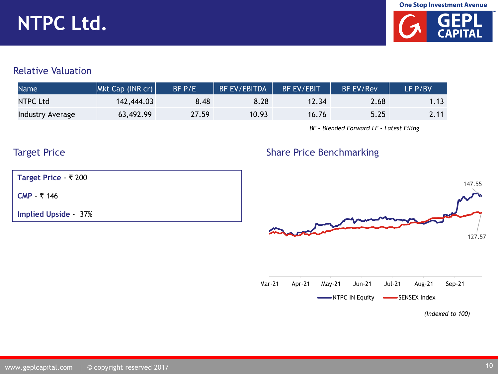# **NTPC Ltd.**



#### Relative Valuation

| <b>Name</b>      | Mkt Cap (INR cr) | $BF$ $P/E$ | <b>BF EV/EBITDA</b> | <b>BF EV/EBIT</b> | <b>BF EV/Rev</b> | LF P/BV |
|------------------|------------------|------------|---------------------|-------------------|------------------|---------|
| NTPC Ltd         | 142,444.03       | 8.48       | 8.28                | 12.34             | 2.68             |         |
| Industry Average | 63,492.99        | 27.59      | 10.93               | 16.76             | 5.25             | 2.11    |

*BF – Blended Forward LF – Latest Filing* 

### Target Price

Share Price Benchmarking

**Target Price** - ₹ 200

**CMP** - ₹ 146

**Implied Upside** - 37%